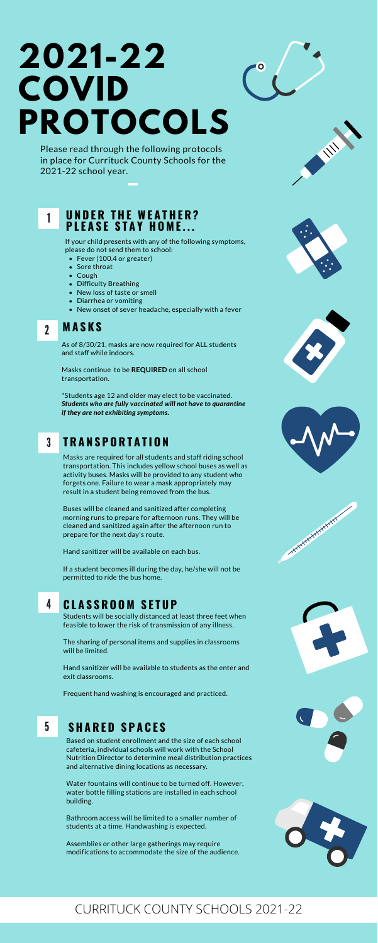

- Fever (100.4 or greater)
- Sore throat
- Cough
- Difficulty Breathing
- New loss of taste or smell
- Diarrhea or vomiting
- New onset of sever headache, especially with a fever

If your child presents with any of the following symptoms, please do not send them to school:

### 2 **M A S K S**

As of 8/30/21, masks are now required for ALL students and staff while indoors.

Masks continue to be **REQUIRED** on all school transportation.

\*Students age 12 and older may elect to be vaccinated. *Students who are fully vaccinated will not have to quarantine if they are not exhibiting symptoms.*

## 3 **T R A N S P O R T A T I O N**

Masks are required for all students and staff riding school transportation. This includes yellow school buses as well as activity buses. Masks will be provided to any student who forgets one. Failure to wear a mask appropriately may result in a student being removed from the bus.

Buses will be cleaned and sanitized after completing morning runs to prepare for afternoon runs. They will be cleaned and sanitized again after the afternoon run to prepare for the next day's route.

Hand sanitizer will be available on each bus.



# **HARRY AND CONTROLLER**



No. of Concession



If a student becomes ill during the day, he/she will not be permitted to ride the bus home.

## 4 **C L A S S R O O M S E T U P**

Students will be socially distanced at least three feet when feasible to lower the risk of transmission of any illness.

The sharing of personal items and supplies in classrooms will be limited.

Hand sanitizer will be available to students as the enter and exit classrooms.

Frequent hand washing is encouraged and practiced.

## 5 **S H A R E D S P A C E S**

Based on student enrollment and the size of each school cafeteria, individual schools will work with the School Nutrition Director to determine meal distribution practices and alternative dining locations as necessary.

Water fountains will continue to be turned off. However, water bottle filling stations are installed in each school building.

Bathroom access will be limited to a smaller number of students at a time. Handwashing is expected.

Assemblies or other large gatherings may require modifications to accommodate the size of the audience.





Please read through the following protocols in place for Currituck County Schools for the 2021-22 school year.

## **2021-22 COVID PROTOCOLS**

## CURRITUCK COUNTY SCHOOLS 2021-22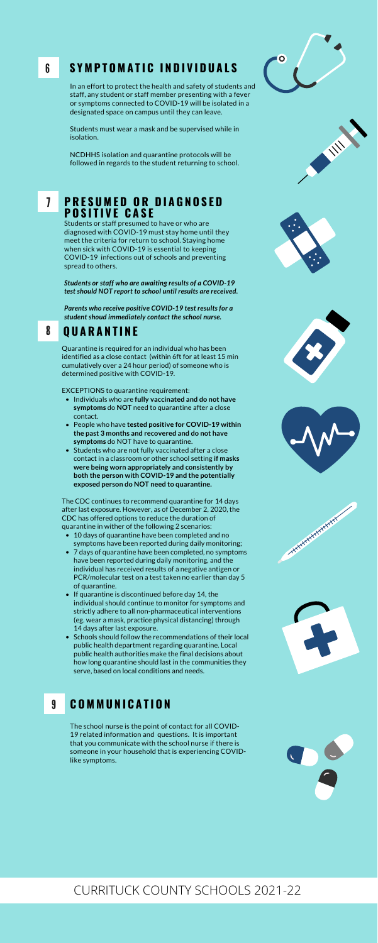- Individuals who are **fully vaccinated and do not have symptoms** do **NOT** need to quarantine after a close contact.
- People who have **tested positive for COVID-19 within the past 3 months and recovered and do not have symptoms** do NOT have to quarantine.
- Students who are not fully vaccinated after a close contact in a classroom or other school setting **if masks were being worn appropriately and consistently by both the person with COVID-19 and the potentially exposed person do NOT need to quarantine.**

- 10 days of quarantine have been completed and no symptoms have been reported during daily monitoring;
- 7 days of quarantine have been completed, no symptoms have been reported during daily monitoring, and the













- individual has received results of a negative antigen or PCR/molecular test on a test taken no earlier than day 5 of quarantine.
- If quarantine is discontinued before day 14, the individual should continue to monitor for symptoms and strictly adhere to all non-pharmaceutical interventions (eg. wear a mask, practice physical distancing) through 14 days after last exposure.
- Schools should follow the recommendations of their local public health department regarding quarantine. Local public health authorities make the final decisions about how long quarantine should last in the communities they serve, based on local conditions and needs.



Quarantine is required for an individual who has been identified as a close contact (within 6ft for at least 15 min cumulatively over a 24 hour period) of someone who is determined positive with COVID-19.

EXCEPTIONS to quarantine requirement:

The CDC continues to recommend quarantine for 14 days after last exposure. However, as of December 2, 2020, the CDC has offered options to reduce the duration of quarantine in wither of the following 2 scenarios:

## 8 **Q U A R A N T I N E**

Students or staff presumed to have or who are diagnosed with COVID-19 must stay home until they meet the criteria for return to school. Staying home when sick with COVID-19 is essential to keeping COVID-19 infections out of schools and preventing spread to others.

#### **P R E S U M E D O R D I A G N O S E D P O S I T I V E C A S E** 7

*Students or staff who are awaiting results of a COVID-19 test should NOT report to school until results are received.*

*Parents who receive positive COVID-19 test results for a student shoud immediately contact the school nurse.*

In an effort to protect the health and safety of students and staff, any student or staff member presenting with a fever or symptoms connected to COVID-19 will be isolated in a designated space on campus until they can leave.

#### **S Y M P T O M A T I C I N D I V I D U A L S** 6

Students must wear a mask and be supervised while in isolation.

NCDHHS isolation and quarantine protocols will be followed in regards to the student returning to school.

#### **C O M M U N I C A T I O N** 9

The school nurse is the point of contact for all COVID-19 related information and questions. It is important that you communicate with the school nurse if there is someone in your household that is experiencing COVIDlike symptoms.



## CURRITUCK COUNTY SCHOOLS 2021-22